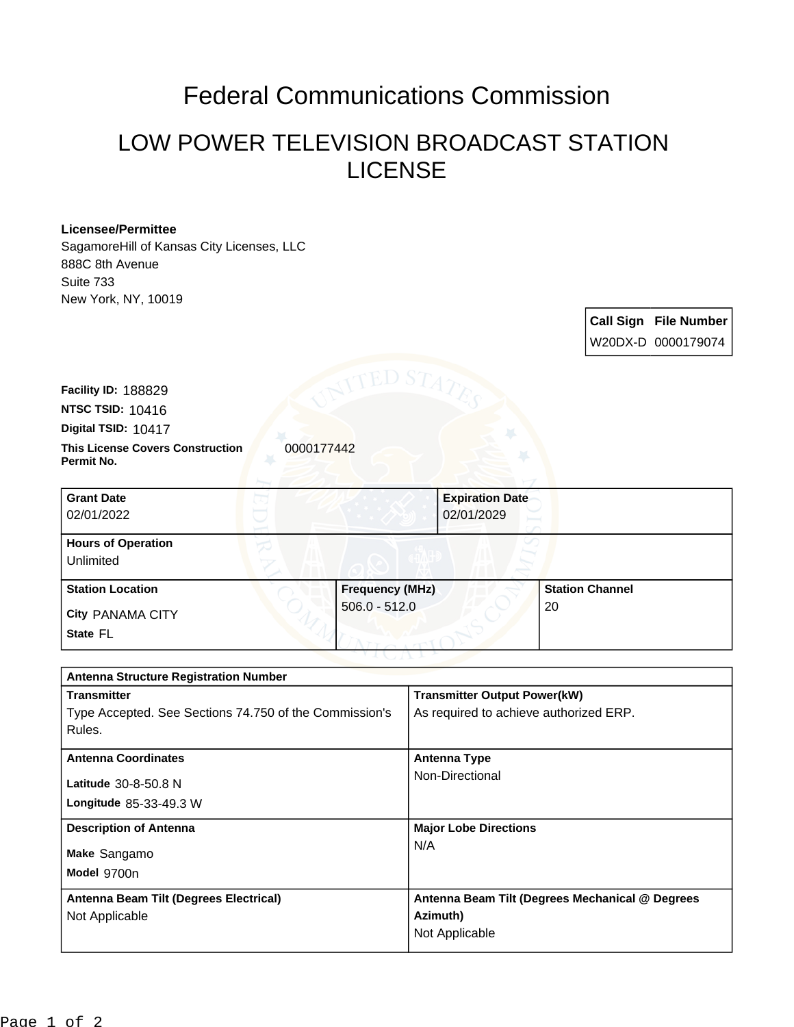## Federal Communications Commission

## LOW POWER TELEVISION BROADCAST STATION LICENSE

## **Licensee/Permittee**

SagamoreHill of Kansas City Licenses, LLC 888C 8th Avenue Suite 733 New York, NY, 10019

> **Call Sign File Number** W20DX-D 0000179074

**Digital TSID:** 10417 **NTSC TSID:** 10416 **Facility ID:** 188829

**This License Covers Construction**  0000177442 **Permit No.**

| <b>Grant Date</b><br>02/01/2022        |                        | <b>Expiration Date</b><br>02/01/2029 |  |
|----------------------------------------|------------------------|--------------------------------------|--|
| <b>Hours of Operation</b><br>Unlimited |                        |                                      |  |
| <b>Station Location</b>                | <b>Frequency (MHz)</b> | <b>Station Channel</b>               |  |
| <b>City PANAMA CITY</b><br>State FL    | $506.0 - 512.0$        | 20                                   |  |

| <b>Antenna Structure Registration Number</b>           |                                                 |  |  |  |
|--------------------------------------------------------|-------------------------------------------------|--|--|--|
| <b>Transmitter</b>                                     | <b>Transmitter Output Power(kW)</b>             |  |  |  |
| Type Accepted. See Sections 74.750 of the Commission's | As required to achieve authorized ERP.          |  |  |  |
| Rules.                                                 |                                                 |  |  |  |
| <b>Antenna Coordinates</b>                             | <b>Antenna Type</b>                             |  |  |  |
|                                                        | Non-Directional                                 |  |  |  |
| Latitude 30-8-50.8 N                                   |                                                 |  |  |  |
| <b>Longitude 85-33-49.3 W</b>                          |                                                 |  |  |  |
| <b>Description of Antenna</b>                          | <b>Major Lobe Directions</b>                    |  |  |  |
| Make Sangamo                                           | N/A                                             |  |  |  |
|                                                        |                                                 |  |  |  |
| Model 9700n                                            |                                                 |  |  |  |
| Antenna Beam Tilt (Degrees Electrical)                 | Antenna Beam Tilt (Degrees Mechanical @ Degrees |  |  |  |
| Not Applicable                                         | Azimuth)                                        |  |  |  |
|                                                        | Not Applicable                                  |  |  |  |